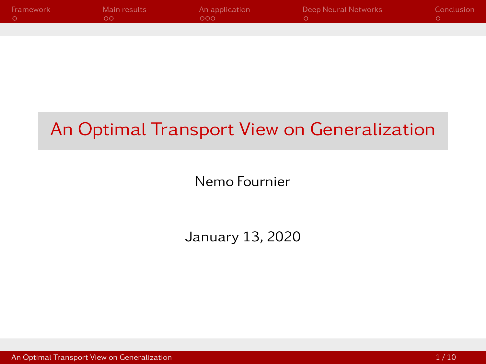<span id="page-0-0"></span>

| Framework | Main results | An application | Deep Neural Networks | Conclusion |
|-----------|--------------|----------------|----------------------|------------|
|           |              | റററ            |                      |            |
|           |              |                |                      |            |

# An Optimal Transport View on Generalization

Nemo Fournier

January 13, 2020

[An Optimal Transport View on Generalization](#page-11-0) 1 / 10  $\sim$  1 / 10  $\sim$  1 / 10  $\sim$  1 / 10  $\sim$  1 / 10  $\sim$  1 / 10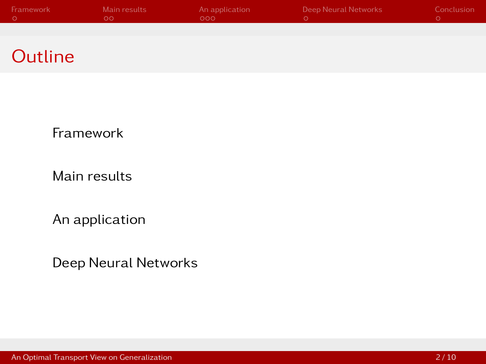| Framework | Main results | An application | Deep Neural Networks | Conclusion |
|-----------|--------------|----------------|----------------------|------------|
|           | . ററ         | - റററ          |                      |            |
|           |              |                |                      |            |

## **Outline**

[Framework](#page-2-0)

[Main results](#page-4-0)

[An application](#page-6-0)

[Deep Neural Networks](#page-10-0)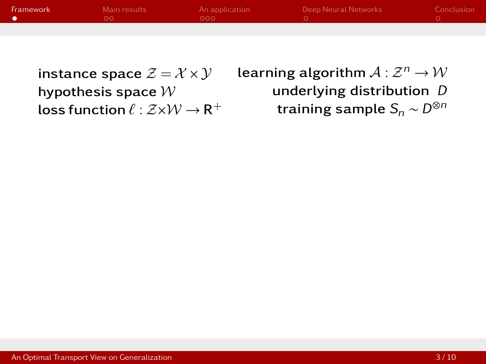<span id="page-2-0"></span>

| Framework <sup>1</sup> | Main results | An application<br>റററ | Deep Neural Networks | Conclusion |
|------------------------|--------------|-----------------------|----------------------|------------|
|                        |              |                       |                      |            |

instance space  $\mathcal{Z} = \mathcal{X} \times \mathcal{Y}$ hypothesis space  $W$ loss function  $\ell : \mathcal{Z}{\times}\mathcal{W} \to \mathsf{R}^{+}$  learning algorithm  $\mathcal{A}:\mathcal{Z}^n\rightarrow\mathcal{W}$ underlying distribution D training sample  $S_n \sim D^{\otimes n}$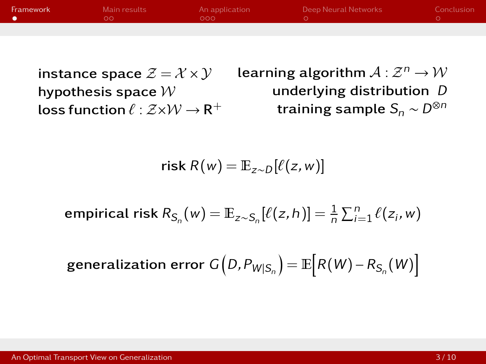| Framework | Main results<br>ה ב | An application<br>റററ | Deep Neural Networks | Conclusion |
|-----------|---------------------|-----------------------|----------------------|------------|
|           |                     |                       |                      |            |

instance space  $\mathcal{Z} = \mathcal{X} \times \mathcal{Y}$ hypothesis space  $W$ loss function  $\ell : \mathcal{Z}{\times}\mathcal{W} \to \mathsf{R}^{+}$  learning algorithm  $\mathcal{A}:\mathcal{Z}^n\rightarrow\mathcal{W}$ underlying distribution D training sample  $S_n \sim D^{\otimes n}$ 

$$
\mathsf{risk}\, R(w) = \mathbb{E}_{z \sim D}[\ell(z, w)]
$$

empirical risk 
$$
R_{S_n}(w) = \mathbb{E}_{z \sim S_n}[\ell(z, h)] = \frac{1}{n} \sum_{i=1}^n \ell(z_i, w)
$$

$$
\text{generalization error } G\left(D, P_{W|S_n}\right) = \mathbb{E}\left[R(W) - R_{S_n}(W)\right]
$$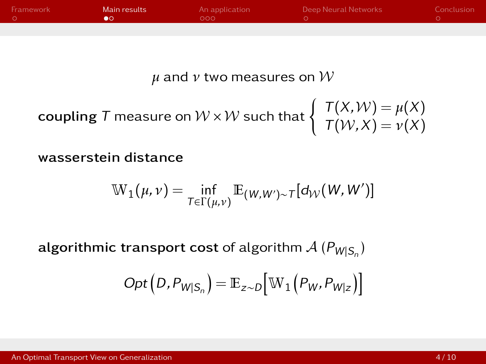<span id="page-4-0"></span>

| Framework | Main results | An application | Deep Neural Networks | Conclusion |
|-----------|--------------|----------------|----------------------|------------|
|           |              | റററ            |                      |            |
|           |              |                |                      |            |

*µ* and *ν* two measures on W

**coupling** T measure on 
$$
W \times W
$$
 such that  $\begin{cases} T(X,W) = \mu(X) \\ T(W,X) = \nu(X) \end{cases}$ 

wasserstein distance

$$
\mathbb{W}_1(\mu,\nu) = \inf_{T \in \Gamma(\mu,\nu)} \mathbb{E}_{(W,W') \sim T}[d_{\mathcal{W}}(W,W')]
$$

 $\mathsf{algorithmic}$  transport cost of algorithm  $\mathcal{A}$   $(\mathsf{P}_{\mathsf{W|S_n}})$ 

$$
Opt(D, P_{W|S_n}) = \mathbb{E}_{z \sim D} [W_1(P_W, P_{W|z})]
$$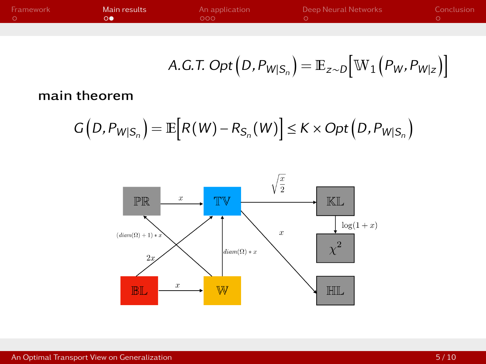| Framework | Main results | An application<br>റററ | Deep Neural Networks | Conclusion |
|-----------|--------------|-----------------------|----------------------|------------|
|           |              |                       |                      |            |

A.G.T. Opt 
$$
(D, P_{W|S_n}) = \mathbb{E}_{z \sim D} [\mathbb{W}_1 (P_W, P_{W|z})]
$$

#### main theorem

$$
G(D, P_{W|S_n}) = \mathbb{E}\big[R(W) - R_{S_n}(W)\big] \le K \times Opt(D, P_{W|S_n})
$$

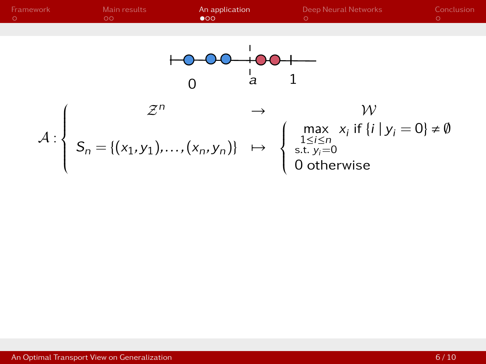<span id="page-6-0"></span>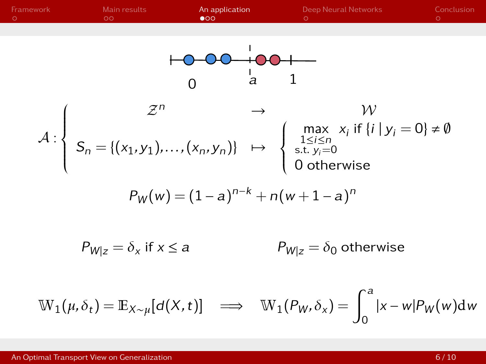| Framework                                                                                                                                                   | Main results                                             | An application | Deep Neural Networks | Conclusion |
|-------------------------------------------------------------------------------------------------------------------------------------------------------------|----------------------------------------------------------|----------------|----------------------|------------|
| 0                                                                                                                                                           | a                                                        | 1              |                      |            |
| 0                                                                                                                                                           | a                                                        | 1              |                      |            |
| $A: \left\{ S_n = \{(x_1, y_1), ..., (x_n, y_n)\} \mapsto \begin{cases} \max_{1 \le i \le n \\ s.t. y_i = 0 \\ \text{st. } y_i = 0 \end{cases} \right\}$ \n | W                                                        |                |                      |            |
| $P_W(w) = (1 - a)^{n-k} + n(w + 1 - a)^n$                                                                                                                   |                                                          |                |                      |            |
| $P_{W z} = \delta_x$ if $x \le a$                                                                                                                           | $P_{W z} = \delta_0$ otherwise                           |                |                      |            |
| $W_1(\mu, \delta_t) = \mathbb{E}_{X \sim \mu}[d(X, t)]$                                                                                                     | $\implies W_1(P_W, \delta_x) = \int_0^a  x - w P_W(w)dw$ |                |                      |            |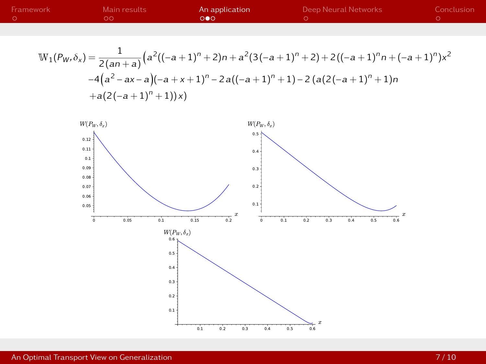| Framework | Main results | An application | Deep Neural Networks | Conclusion |
|-----------|--------------|----------------|----------------------|------------|
|           | ററ           | ംപ             |                      |            |
|           |              |                |                      |            |

$$
\mathbb{W}_{1}(P_{W},\delta_{x}) = \frac{1}{2(an+a)}\Big(a^{2}((-a+1)^{n}+2)n+a^{2}(3(-a+1)^{n}+2)+2((-a+1)^{n}n+(-a+1)^{n})x^{2} -4(a^{2}-ax-a)(-a+x+1)^{n}-2a((-a+1)^{n}+1)-2(a(2(-a+1)^{n}+1)n +a(2(-a+1)^{n}+1))x)\Big)
$$



for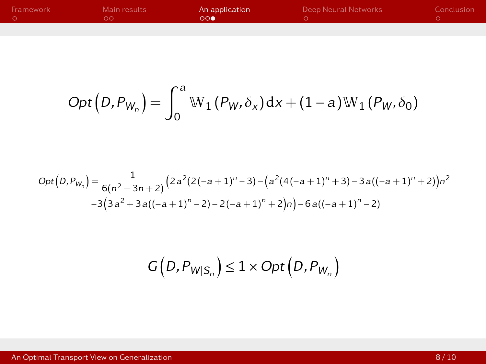| Framework | Main results | An application<br>$\bigcap_{n=1}^{\infty}$ | Deep Neural Networks | Conclusion |
|-----------|--------------|--------------------------------------------|----------------------|------------|
|           |              |                                            |                      |            |

$$
Opt(D, P_{W_n}) = \int_0^a W_1(P_W, \delta_x) dx + (1-a)W_1(P_W, \delta_0)
$$

$$
Opt(D, P_{W_n}) = \frac{1}{6(n^2+3n+2)} \left(2a^2(2(-a+1)^n-3) - \left(a^2(4(-a+1)^n+3) - 3a((-a+1)^n+2)\right)n^2 - 3(3a^2+3a((-a+1)^n-2) - 2(-a+1)^n+2)n\right) - 6a((-a+1)^n-2)
$$

$$
G(D, P_{W|S_n}) \leq 1 \times Opt(D, P_{W_n})
$$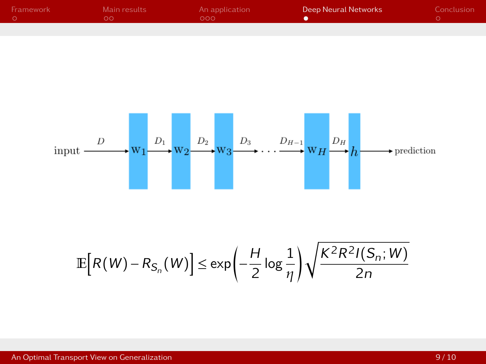<span id="page-10-0"></span>

| Framework | Main results<br>ה ב | An application<br>റററ | Deep Neural Networks | Conclusion |
|-----------|---------------------|-----------------------|----------------------|------------|
|           |                     |                       |                      |            |



$$
\mathbb{E}\Big[R(W)-R_{S_n}(W)\Big]\leq \exp\Biggl(-\frac{H}{2}\log\frac{1}{\eta}\Biggr)\sqrt{\frac{K^2R^2I(S_n;W)}{2n}}
$$